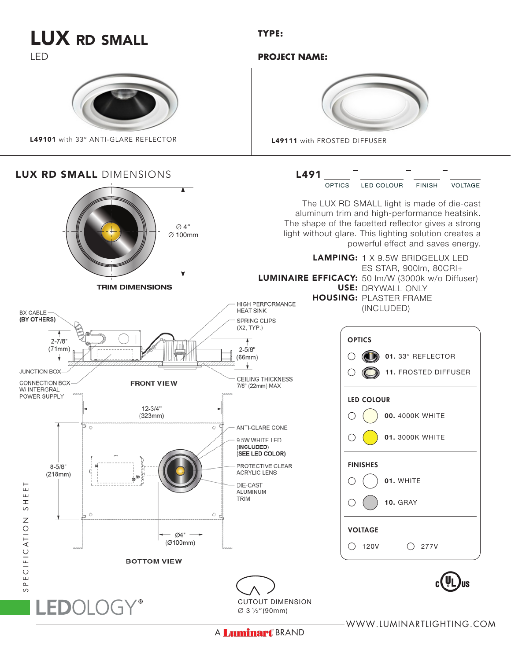A Luminart BRAND

WWW.LUMINARTLIGHTING.COM



## LUX RD SMALL

LED



 **PROJECT NAME:**

**TYPE:**